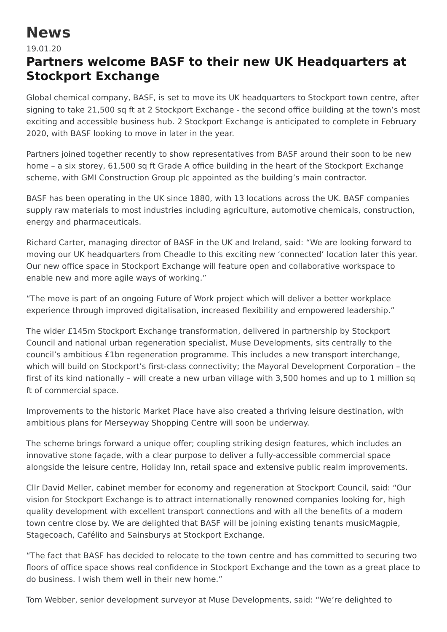## **News**

## 19.01.20

## **Partners welcome BASF to their new UK Headquarters at Stockport Exchange**

Global chemical company, BASF, is set to move its UK headquarters to Stockport town centre, after signing to take 21,500 sq ft at 2 Stockport Exchange - the second office building at the town's most exciting and accessible business hub. 2 Stockport Exchange is anticipated to complete in February 2020, with BASF looking to move in later in the year.

Partners joined together recently to show representatives from BASF around their soon to be new home – a six storey, 61,500 sq ft Grade A office building in the heart of the Stockport Exchange scheme, with GMI Construction Group plc appointed as the building's main contractor.

BASF has been operating in the UK since 1880, with 13 locations across the UK. BASF companies supply raw materials to most industries including agriculture, automotive chemicals, construction, energy and pharmaceuticals.

Richard Carter, managing director of BASF in the UK and Ireland, said: "We are looking forward to moving our UK headquarters from Cheadle to this exciting new 'connected' location later this year. Our new office space in Stockport Exchange will feature open and collaborative workspace to enable new and more agile ways of working."

"The move is part of an ongoing Future of Work project which will deliver a better workplace experience through improved digitalisation, increased flexibility and empowered leadership."

The wider £145m Stockport Exchange transformation, delivered in partnership by Stockport Council and national urban regeneration specialist, Muse Developments, sits centrally to the council's ambitious £1bn regeneration programme. This includes a new transport interchange, which will build on Stockport's first-class connectivity; the Mayoral Development Corporation – the first of its kind nationally – will create a new urban village with 3,500 homes and up to 1 million sq ft of commercial space.

Improvements to the historic Market Place have also created a thriving leisure destination, with ambitious plans for Merseyway Shopping Centre will soon be underway.

The scheme brings forward a unique offer; coupling striking design features, which includes an innovative stone façade, with a clear purpose to deliver a fully-accessible commercial space alongside the leisure centre, Holiday Inn, retail space and extensive public realm improvements.

Cllr David Meller, cabinet member for economy and regeneration at Stockport Council, said: "Our vision for Stockport Exchange is to attract internationally renowned companies looking for, high quality development with excellent transport connections and with all the benefits of a modern town centre close by. We are delighted that BASF will be joining existing tenants musicMagpie, Stagecoach, Cafélito and Sainsburys at Stockport Exchange.

"The fact that BASF has decided to relocate to the town centre and has committed to securing two floors of office space shows real confidence in Stockport Exchange and the town as a great place to do business. I wish them well in their new home."

Tom Webber, senior development surveyor at Muse Developments, said: "We're delighted to